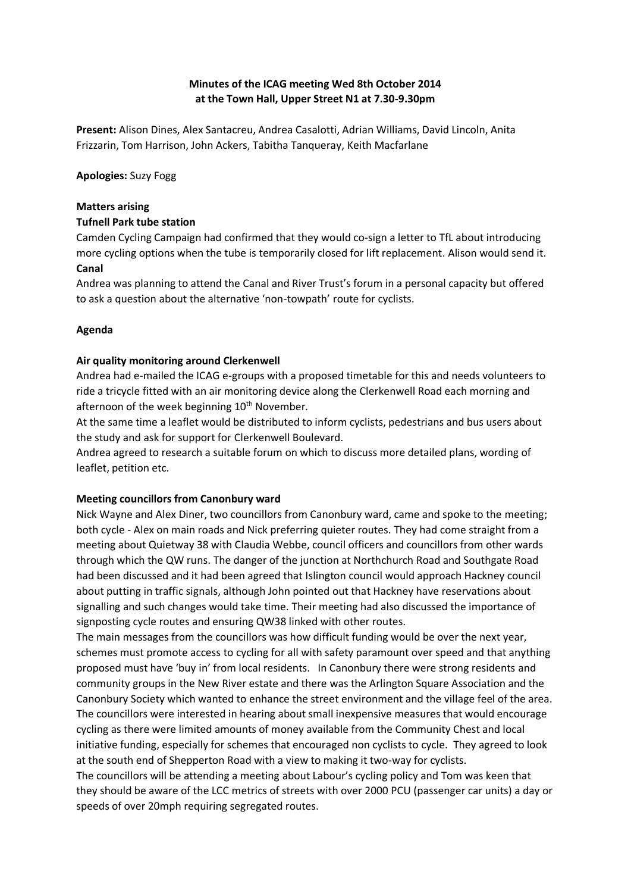# **Minutes of the ICAG meeting Wed 8th October 2014 at the Town Hall, Upper Street N1 at 7.30-9.30pm**

**Present:** Alison Dines, Alex Santacreu, Andrea Casalotti, Adrian Williams, David Lincoln, Anita Frizzarin, Tom Harrison, John Ackers, Tabitha Tanqueray, Keith Macfarlane

**Apologies:** Suzy Fogg

### **Matters arising**

# **Tufnell Park tube station**

Camden Cycling Campaign had confirmed that they would co-sign a letter to TfL about introducing more cycling options when the tube is temporarily closed for lift replacement. Alison would send it. **Canal**

Andrea was planning to attend the Canal and River Trust's forum in a personal capacity but offered to ask a question about the alternative 'non-towpath' route for cyclists.

# **Agenda**

### **Air quality monitoring around Clerkenwell**

Andrea had e-mailed the ICAG e-groups with a proposed timetable for this and needs volunteers to ride a tricycle fitted with an air monitoring device along the Clerkenwell Road each morning and afternoon of the week beginning 10<sup>th</sup> November.

At the same time a leaflet would be distributed to inform cyclists, pedestrians and bus users about the study and ask for support for Clerkenwell Boulevard.

Andrea agreed to research a suitable forum on which to discuss more detailed plans, wording of leaflet, petition etc.

# **Meeting councillors from Canonbury ward**

Nick Wayne and Alex Diner, two councillors from Canonbury ward, came and spoke to the meeting; both cycle - Alex on main roads and Nick preferring quieter routes. They had come straight from a meeting about Quietway 38 with Claudia Webbe, council officers and councillors from other wards through which the QW runs. The danger of the junction at Northchurch Road and Southgate Road had been discussed and it had been agreed that Islington council would approach Hackney council about putting in traffic signals, although John pointed out that Hackney have reservations about signalling and such changes would take time. Their meeting had also discussed the importance of signposting cycle routes and ensuring QW38 linked with other routes.

The main messages from the councillors was how difficult funding would be over the next year, schemes must promote access to cycling for all with safety paramount over speed and that anything proposed must have 'buy in' from local residents. In Canonbury there were strong residents and community groups in the New River estate and there was the Arlington Square Association and the Canonbury Society which wanted to enhance the street environment and the village feel of the area. The councillors were interested in hearing about small inexpensive measures that would encourage cycling as there were limited amounts of money available from the Community Chest and local initiative funding, especially for schemes that encouraged non cyclists to cycle. They agreed to look at the south end of Shepperton Road with a view to making it two-way for cyclists. The councillors will be attending a meeting about Labour's cycling policy and Tom was keen that

they should be aware of the LCC metrics of streets with over 2000 PCU (passenger car units) a day or speeds of over 20mph requiring segregated routes.